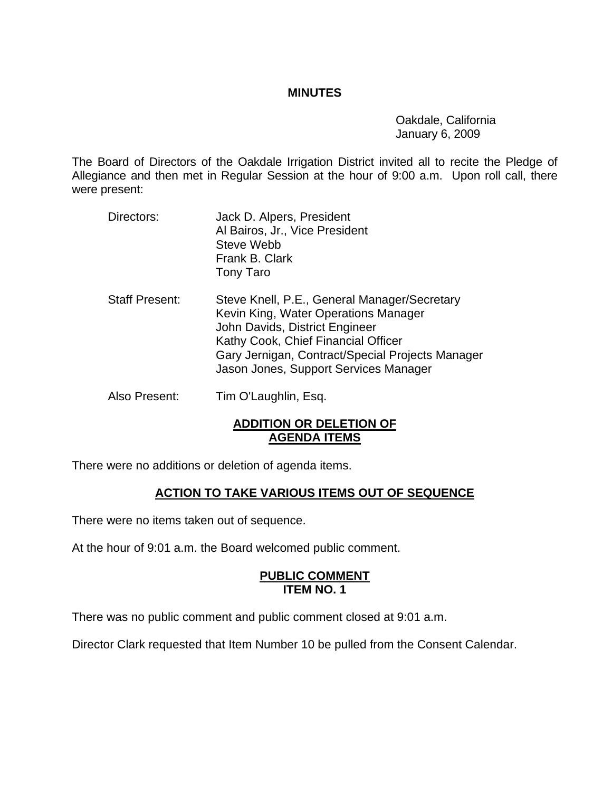### **MINUTES**

 Oakdale, California January 6, 2009

The Board of Directors of the Oakdale Irrigation District invited all to recite the Pledge of Allegiance and then met in Regular Session at the hour of 9:00 a.m. Upon roll call, there were present:

- Directors: Jack D. Alpers, President Al Bairos, Jr., Vice President Steve Webb Frank B. Clark Tony Taro
- Staff Present: Steve Knell, P.E., General Manager/Secretary Kevin King, Water Operations Manager John Davids, District Engineer Kathy Cook, Chief Financial Officer Gary Jernigan, Contract/Special Projects Manager Jason Jones, Support Services Manager
- Also Present: Tim O'Laughlin, Esq.

## **ADDITION OR DELETION OF AGENDA ITEMS**

There were no additions or deletion of agenda items.

# **ACTION TO TAKE VARIOUS ITEMS OUT OF SEQUENCE**

There were no items taken out of sequence.

At the hour of 9:01 a.m. the Board welcomed public comment.

### **PUBLIC COMMENT ITEM NO. 1**

There was no public comment and public comment closed at 9:01 a.m.

Director Clark requested that Item Number 10 be pulled from the Consent Calendar.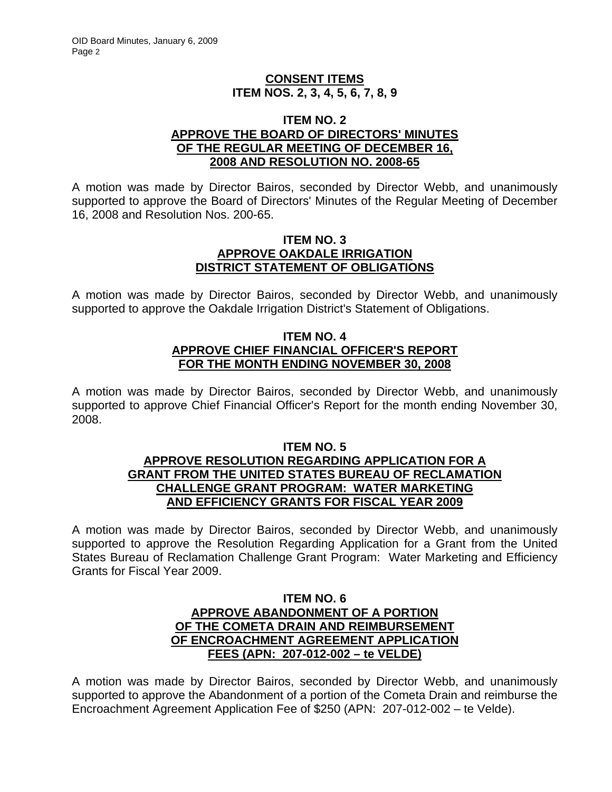## **CONSENT ITEMS ITEM NOS. 2, 3, 4, 5, 6, 7, 8, 9**

#### **ITEM NO. 2 APPROVE THE BOARD OF DIRECTORS' MINUTES OF THE REGULAR MEETING OF DECEMBER 16, 2008 AND RESOLUTION NO. 2008-65**

A motion was made by Director Bairos, seconded by Director Webb, and unanimously supported to approve the Board of Directors' Minutes of the Regular Meeting of December 16, 2008 and Resolution Nos. 200-65.

#### **ITEM NO. 3 APPROVE OAKDALE IRRIGATION DISTRICT STATEMENT OF OBLIGATIONS**

A motion was made by Director Bairos, seconded by Director Webb, and unanimously supported to approve the Oakdale Irrigation District's Statement of Obligations.

### **ITEM NO. 4 APPROVE CHIEF FINANCIAL OFFICER'S REPORT FOR THE MONTH ENDING NOVEMBER 30, 2008**

A motion was made by Director Bairos, seconded by Director Webb, and unanimously supported to approve Chief Financial Officer's Report for the month ending November 30, 2008.

### **ITEM NO. 5 APPROVE RESOLUTION REGARDING APPLICATION FOR A GRANT FROM THE UNITED STATES BUREAU OF RECLAMATION CHALLENGE GRANT PROGRAM: WATER MARKETING AND EFFICIENCY GRANTS FOR FISCAL YEAR 2009**

A motion was made by Director Bairos, seconded by Director Webb, and unanimously supported to approve the Resolution Regarding Application for a Grant from the United States Bureau of Reclamation Challenge Grant Program: Water Marketing and Efficiency Grants for Fiscal Year 2009.

### **ITEM NO. 6 APPROVE ABANDONMENT OF A PORTION OF THE COMETA DRAIN AND REIMBURSEMENT OF ENCROACHMENT AGREEMENT APPLICATION FEES (APN: 207-012-002 – te VELDE)**

A motion was made by Director Bairos, seconded by Director Webb, and unanimously supported to approve the Abandonment of a portion of the Cometa Drain and reimburse the Encroachment Agreement Application Fee of \$250 (APN: 207-012-002 – te Velde).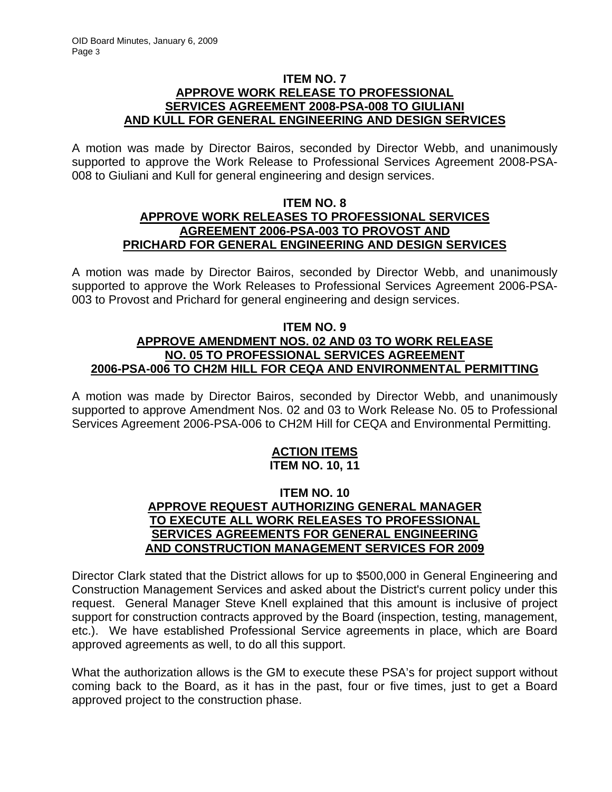### **ITEM NO. 7 APPROVE WORK RELEASE TO PROFESSIONAL SERVICES AGREEMENT 2008-PSA-008 TO GIULIANI AND KULL FOR GENERAL ENGINEERING AND DESIGN SERVICES**

A motion was made by Director Bairos, seconded by Director Webb, and unanimously supported to approve the Work Release to Professional Services Agreement 2008-PSA-008 to Giuliani and Kull for general engineering and design services.

## **ITEM NO. 8 APPROVE WORK RELEASES TO PROFESSIONAL SERVICES AGREEMENT 2006-PSA-003 TO PROVOST AND PRICHARD FOR GENERAL ENGINEERING AND DESIGN SERVICES**

A motion was made by Director Bairos, seconded by Director Webb, and unanimously supported to approve the Work Releases to Professional Services Agreement 2006-PSA-003 to Provost and Prichard for general engineering and design services.

## **ITEM NO. 9 APPROVE AMENDMENT NOS. 02 AND 03 TO WORK RELEASE NO. 05 TO PROFESSIONAL SERVICES AGREEMENT 2006-PSA-006 TO CH2M HILL FOR CEQA AND ENVIRONMENTAL PERMITTING**

A motion was made by Director Bairos, seconded by Director Webb, and unanimously supported to approve Amendment Nos. 02 and 03 to Work Release No. 05 to Professional Services Agreement 2006-PSA-006 to CH2M Hill for CEQA and Environmental Permitting.

## **ACTION ITEMS ITEM NO. 10, 11**

## **ITEM NO. 10 APPROVE REQUEST AUTHORIZING GENERAL MANAGER TO EXECUTE ALL WORK RELEASES TO PROFESSIONAL SERVICES AGREEMENTS FOR GENERAL ENGINEERING AND CONSTRUCTION MANAGEMENT SERVICES FOR 2009**

Director Clark stated that the District allows for up to \$500,000 in General Engineering and Construction Management Services and asked about the District's current policy under this request. General Manager Steve Knell explained that this amount is inclusive of project support for construction contracts approved by the Board (inspection, testing, management, etc.). We have established Professional Service agreements in place, which are Board approved agreements as well, to do all this support.

What the authorization allows is the GM to execute these PSA's for project support without coming back to the Board, as it has in the past, four or five times, just to get a Board approved project to the construction phase.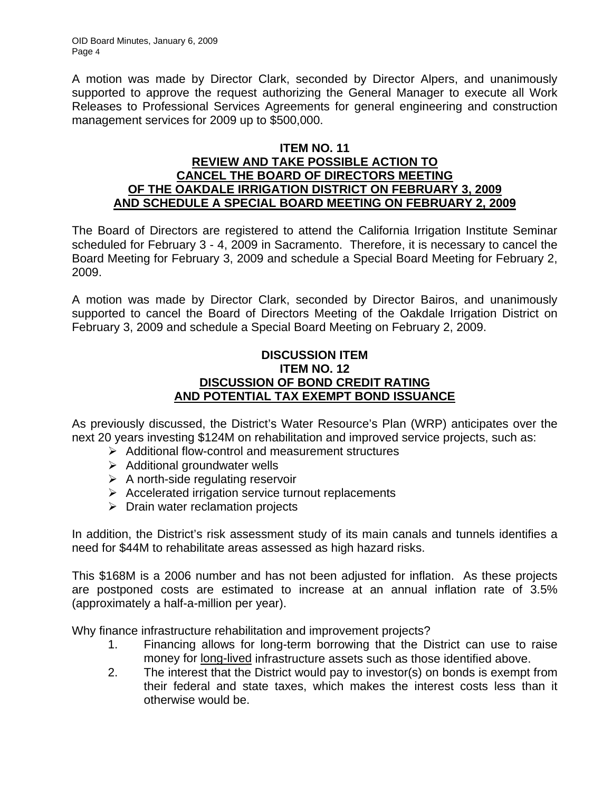A motion was made by Director Clark, seconded by Director Alpers, and unanimously supported to approve the request authorizing the General Manager to execute all Work Releases to Professional Services Agreements for general engineering and construction management services for 2009 up to \$500,000.

## **ITEM NO. 11**

### **REVIEW AND TAKE POSSIBLE ACTION TO CANCEL THE BOARD OF DIRECTORS MEETING OF THE OAKDALE IRRIGATION DISTRICT ON FEBRUARY 3, 2009 AND SCHEDULE A SPECIAL BOARD MEETING ON FEBRUARY 2, 2009**

The Board of Directors are registered to attend the California Irrigation Institute Seminar scheduled for February 3 - 4, 2009 in Sacramento. Therefore, it is necessary to cancel the Board Meeting for February 3, 2009 and schedule a Special Board Meeting for February 2, 2009.

A motion was made by Director Clark, seconded by Director Bairos, and unanimously supported to cancel the Board of Directors Meeting of the Oakdale Irrigation District on February 3, 2009 and schedule a Special Board Meeting on February 2, 2009.

## **DISCUSSION ITEM ITEM NO. 12 DISCUSSION OF BOND CREDIT RATING AND POTENTIAL TAX EXEMPT BOND ISSUANCE**

As previously discussed, the District's Water Resource's Plan (WRP) anticipates over the next 20 years investing \$124M on rehabilitation and improved service projects, such as:

- $\triangleright$  Additional flow-control and measurement structures
- $\triangleright$  Additional groundwater wells
- $\triangleright$  A north-side regulating reservoir
- $\triangleright$  Accelerated irrigation service turnout replacements
- $\triangleright$  Drain water reclamation projects

In addition, the District's risk assessment study of its main canals and tunnels identifies a need for \$44M to rehabilitate areas assessed as high hazard risks.

This \$168M is a 2006 number and has not been adjusted for inflation. As these projects are postponed costs are estimated to increase at an annual inflation rate of 3.5% (approximately a half-a-million per year).

Why finance infrastructure rehabilitation and improvement projects?

- 1. Financing allows for long-term borrowing that the District can use to raise money for long-lived infrastructure assets such as those identified above.
- 2. The interest that the District would pay to investor(s) on bonds is exempt from their federal and state taxes, which makes the interest costs less than it otherwise would be.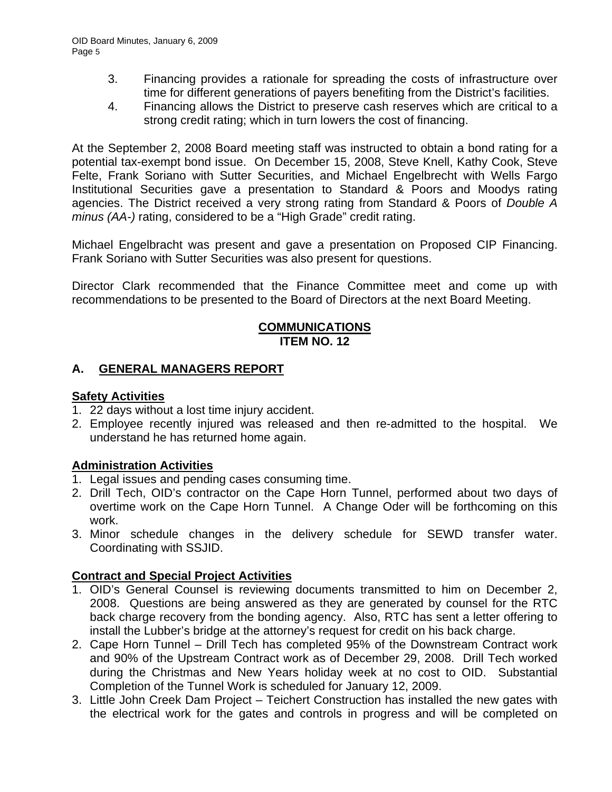- 3. Financing provides a rationale for spreading the costs of infrastructure over time for different generations of payers benefiting from the District's facilities.
- 4. Financing allows the District to preserve cash reserves which are critical to a strong credit rating; which in turn lowers the cost of financing.

At the September 2, 2008 Board meeting staff was instructed to obtain a bond rating for a potential tax-exempt bond issue. On December 15, 2008, Steve Knell, Kathy Cook, Steve Felte, Frank Soriano with Sutter Securities, and Michael Engelbrecht with Wells Fargo Institutional Securities gave a presentation to Standard & Poors and Moodys rating agencies. The District received a very strong rating from Standard & Poors of *Double A minus (AA-)* rating, considered to be a "High Grade" credit rating.

Michael Engelbracht was present and gave a presentation on Proposed CIP Financing. Frank Soriano with Sutter Securities was also present for questions.

Director Clark recommended that the Finance Committee meet and come up with recommendations to be presented to the Board of Directors at the next Board Meeting.

## **COMMUNICATIONS ITEM NO. 12**

# **A. GENERAL MANAGERS REPORT**

## **Safety Activities**

- 1. 22 days without a lost time injury accident.
- 2. Employee recently injured was released and then re-admitted to the hospital. We understand he has returned home again.

# **Administration Activities**

- 1. Legal issues and pending cases consuming time.
- 2. Drill Tech, OID's contractor on the Cape Horn Tunnel, performed about two days of overtime work on the Cape Horn Tunnel. A Change Oder will be forthcoming on this work.
- 3. Minor schedule changes in the delivery schedule for SEWD transfer water. Coordinating with SSJID.

# **Contract and Special Project Activities**

- 1. OID's General Counsel is reviewing documents transmitted to him on December 2, 2008. Questions are being answered as they are generated by counsel for the RTC back charge recovery from the bonding agency. Also, RTC has sent a letter offering to install the Lubber's bridge at the attorney's request for credit on his back charge.
- 2. Cape Horn Tunnel Drill Tech has completed 95% of the Downstream Contract work and 90% of the Upstream Contract work as of December 29, 2008. Drill Tech worked during the Christmas and New Years holiday week at no cost to OID. Substantial Completion of the Tunnel Work is scheduled for January 12, 2009.
- 3. Little John Creek Dam Project Teichert Construction has installed the new gates with the electrical work for the gates and controls in progress and will be completed on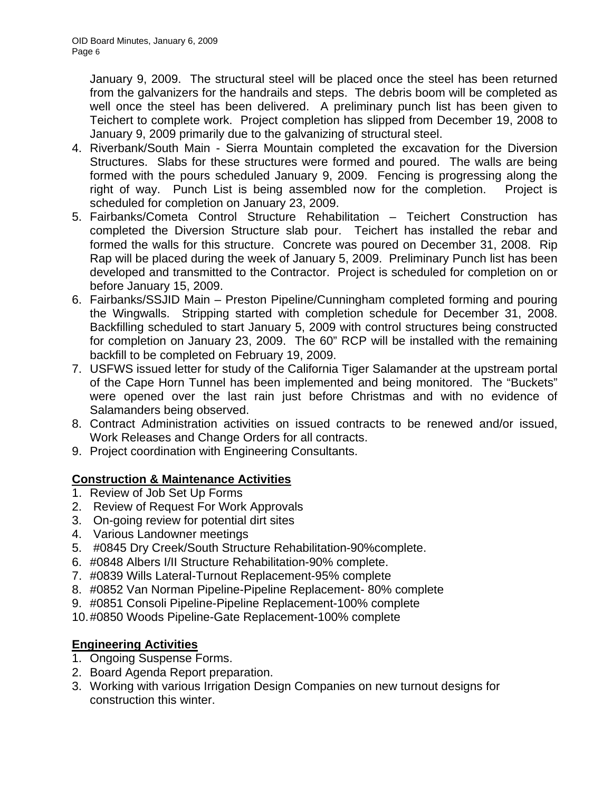January 9, 2009. The structural steel will be placed once the steel has been returned from the galvanizers for the handrails and steps. The debris boom will be completed as well once the steel has been delivered. A preliminary punch list has been given to Teichert to complete work. Project completion has slipped from December 19, 2008 to January 9, 2009 primarily due to the galvanizing of structural steel.

- 4. Riverbank/South Main Sierra Mountain completed the excavation for the Diversion Structures. Slabs for these structures were formed and poured. The walls are being formed with the pours scheduled January 9, 2009. Fencing is progressing along the right of way. Punch List is being assembled now for the completion. Project is scheduled for completion on January 23, 2009.
- 5. Fairbanks/Cometa Control Structure Rehabilitation Teichert Construction has completed the Diversion Structure slab pour. Teichert has installed the rebar and formed the walls for this structure. Concrete was poured on December 31, 2008. Rip Rap will be placed during the week of January 5, 2009. Preliminary Punch list has been developed and transmitted to the Contractor. Project is scheduled for completion on or before January 15, 2009.
- 6. Fairbanks/SSJID Main Preston Pipeline/Cunningham completed forming and pouring the Wingwalls. Stripping started with completion schedule for December 31, 2008. Backfilling scheduled to start January 5, 2009 with control structures being constructed for completion on January 23, 2009. The 60" RCP will be installed with the remaining backfill to be completed on February 19, 2009.
- 7. USFWS issued letter for study of the California Tiger Salamander at the upstream portal of the Cape Horn Tunnel has been implemented and being monitored. The "Buckets" were opened over the last rain just before Christmas and with no evidence of Salamanders being observed.
- 8. Contract Administration activities on issued contracts to be renewed and/or issued, Work Releases and Change Orders for all contracts.
- 9. Project coordination with Engineering Consultants.

# **Construction & Maintenance Activities**

- 1. Review of Job Set Up Forms
- 2. Review of Request For Work Approvals
- 3. On-going review for potential dirt sites
- 4. Various Landowner meetings
- 5. #0845 Dry Creek/South Structure Rehabilitation-90%complete.
- 6. #0848 Albers I/II Structure Rehabilitation-90% complete.
- 7. #0839 Wills Lateral-Turnout Replacement-95% complete
- 8. #0852 Van Norman Pipeline-Pipeline Replacement- 80% complete
- 9. #0851 Consoli Pipeline-Pipeline Replacement-100% complete
- 10. #0850 Woods Pipeline-Gate Replacement-100% complete

# **Engineering Activities**

- 1. Ongoing Suspense Forms.
- 2. Board Agenda Report preparation.
- 3. Working with various Irrigation Design Companies on new turnout designs for construction this winter.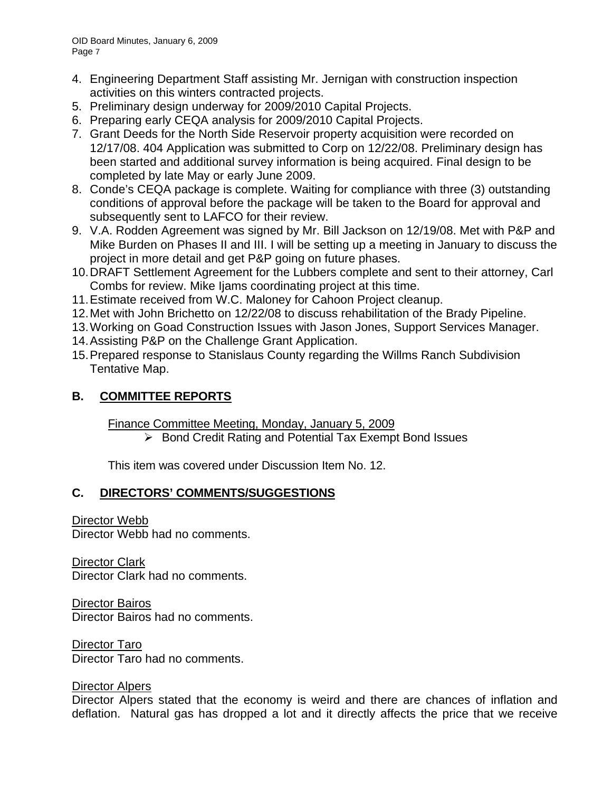- 4. Engineering Department Staff assisting Mr. Jernigan with construction inspection activities on this winters contracted projects.
- 5. Preliminary design underway for 2009/2010 Capital Projects.
- 6. Preparing early CEQA analysis for 2009/2010 Capital Projects.
- 7. Grant Deeds for the North Side Reservoir property acquisition were recorded on 12/17/08. 404 Application was submitted to Corp on 12/22/08. Preliminary design has been started and additional survey information is being acquired. Final design to be completed by late May or early June 2009.
- 8. Conde's CEQA package is complete. Waiting for compliance with three (3) outstanding conditions of approval before the package will be taken to the Board for approval and subsequently sent to LAFCO for their review.
- 9. V.A. Rodden Agreement was signed by Mr. Bill Jackson on 12/19/08. Met with P&P and Mike Burden on Phases II and III. I will be setting up a meeting in January to discuss the project in more detail and get P&P going on future phases.
- 10. DRAFT Settlement Agreement for the Lubbers complete and sent to their attorney, Carl Combs for review. Mike Ijams coordinating project at this time.
- 11. Estimate received from W.C. Maloney for Cahoon Project cleanup.
- 12. Met with John Brichetto on 12/22/08 to discuss rehabilitation of the Brady Pipeline.
- 13. Working on Goad Construction Issues with Jason Jones, Support Services Manager.
- 14. Assisting P&P on the Challenge Grant Application.
- 15. Prepared response to Stanislaus County regarding the Willms Ranch Subdivision Tentative Map.

# **B. COMMITTEE REPORTS**

Finance Committee Meeting, Monday, January 5, 2009

¾ Bond Credit Rating and Potential Tax Exempt Bond Issues

This item was covered under Discussion Item No. 12.

# **C. DIRECTORS' COMMENTS/SUGGESTIONS**

Director Webb

Director Webb had no comments.

Director Clark

Director Clark had no comments.

Director Bairos Director Bairos had no comments.

Director Taro Director Taro had no comments.

## Director Alpers

Director Alpers stated that the economy is weird and there are chances of inflation and deflation. Natural gas has dropped a lot and it directly affects the price that we receive